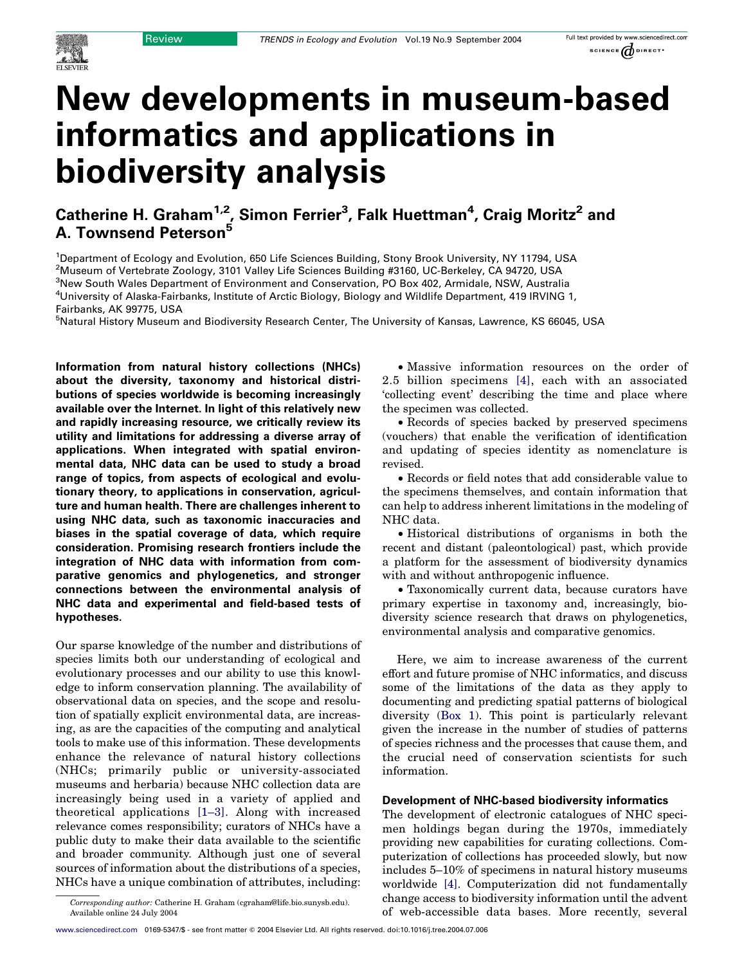# New developments in museum-based informatics and applications in biodiversity analysis

Catherine H. Graham<sup>1,2</sup>, Simon Ferrier<sup>3</sup>, Falk Huettman<sup>4</sup>, Craig Moritz<sup>2</sup> and A. Townsend Peterson<sup>5</sup>

<sup>1</sup>Department of Ecology and Evolution, 650 Life Sciences Building, Stony Brook University, NY 11794, USA 2 Museum of Vertebrate Zoology, 3101 Valley Life Sciences Building #3160, UC-Berkeley, CA 94720, USA 3 New South Wales Department of Environment and Conservation, PO Box 402, Armidale, NSW, Australia 4 University of Alaska-Fairbanks, Institute of Arctic Biology, Biology and Wildlife Department, 419 IRVING 1, Fairbanks, AK 99775, USA

<sup>5</sup>Natural History Museum and Biodiversity Research Center, The University of Kansas, Lawrence, KS 66045, USA

Information from natural history collections (NHCs) about the diversity, taxonomy and historical distributions of species worldwide is becoming increasingly available over the Internet. In light of this relatively new and rapidly increasing resource, we critically review its utility and limitations for addressing a diverse array of applications. When integrated with spatial environmental data, NHC data can be used to study a broad range of topics, from aspects of ecological and evolutionary theory, to applications in conservation, agriculture and human health. There are challenges inherent to using NHC data, such as taxonomic inaccuracies and biases in the spatial coverage of data, which require consideration. Promising research frontiers include the integration of NHC data with information from comparative genomics and phylogenetics, and stronger connections between the environmental analysis of NHC data and experimental and field-based tests of hypotheses.

Our sparse knowledge of the number and distributions of species limits both our understanding of ecological and evolutionary processes and our ability to use this knowledge to inform conservation planning. The availability of observational data on species, and the scope and resolution of spatially explicit environmental data, are increasing, as are the capacities of the computing and analytical tools to make use of this information. These developments enhance the relevance of natural history collections (NHCs; primarily public or university-associated museums and herbaria) because NHC collection data are increasingly being used in a variety of applied and theoretical applications [\[1–3\]](#page-5-0). Along with increased relevance comes responsibility; curators of NHCs have a public duty to make their data available to the scientific and broader community. Although just one of several sources of information about the distributions of a species, NHCs have a unique combination of attributes, including:

• Massive information resources on the order of 2.5 billion specimens [\[4\]](#page-5-0), each with an associated 'collecting event' describing the time and place where the specimen was collected.

† Records of species backed by preserved specimens (vouchers) that enable the verification of identification and updating of species identity as nomenclature is revised.

† Records or field notes that add considerable value to the specimens themselves, and contain information that can help to address inherent limitations in the modeling of NHC data.

• Historical distributions of organisms in both the recent and distant (paleontological) past, which provide a platform for the assessment of biodiversity dynamics with and without anthropogenic influence.

† Taxonomically current data, because curators have primary expertise in taxonomy and, increasingly, biodiversity science research that draws on phylogenetics, environmental analysis and comparative genomics.

Here, we aim to increase awareness of the current effort and future promise of NHC informatics, and discuss some of the limitations of the data as they apply to documenting and predicting spatial patterns of biological diversity (Box 1). This point is particularly relevant given the increase in the number of studies of patterns of species richness and the processes that cause them, and the crucial need of conservation scientists for such information.

# Development of NHC-based biodiversity informatics

The development of electronic catalogues of NHC specimen holdings began during the 1970s, immediately providing new capabilities for curating collections. Computerization of collections has proceeded slowly, but now includes 5–10% of specimens in natural history museums worldwide [\[4\].](#page-5-0) Computerization did not fundamentally change access to biodiversity information until the advent of web-accessible data bases. More recently, several

Corresponding author: Catherine H. Graham (cgraham@life.bio.sunysb.edu). Available online 24 July 2004

[www.sciencedirect.com](http://www.sciencedirect.com) 0169-5347/\$ - see front matter Q 2004 Elsevier Ltd. All rights reserved. doi:10.1016/j.tree.2004.07.006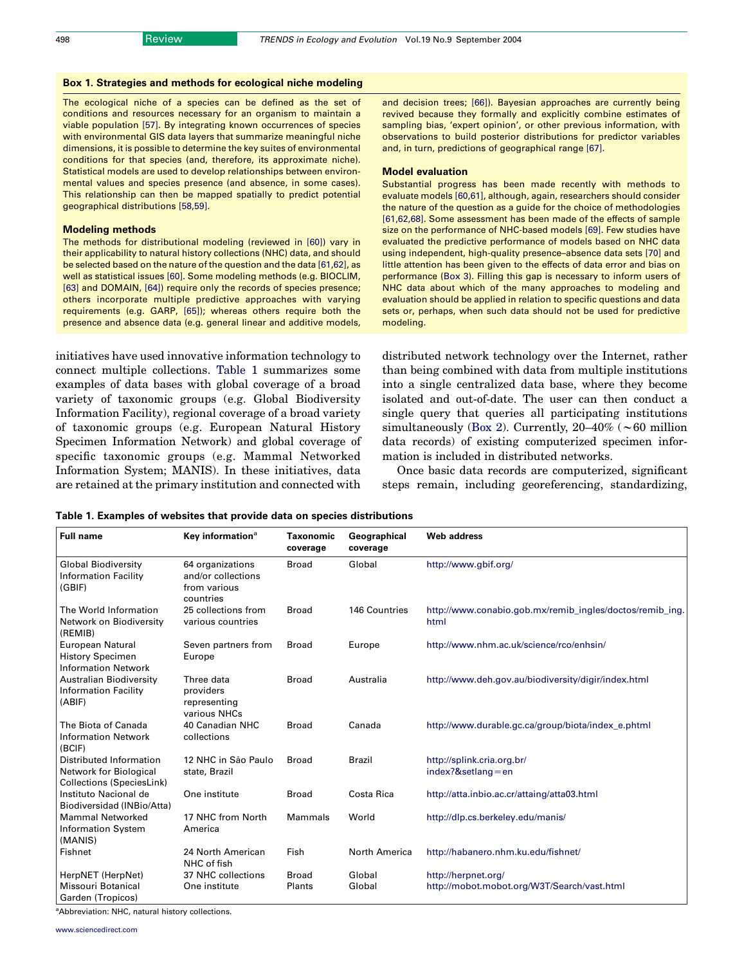# Box 1. Strategies and methods for ecological niche modeling

The ecological niche of a species can be defined as the set of conditions and resources necessary for an organism to maintain a viable population [\[57\]](#page-6-0). By integrating known occurrences of species with environmental GIS data layers that summarize meaningful niche dimensions, it is possible to determine the key suites of environmental conditions for that species (and, therefore, its approximate niche). Statistical models are used to develop relationships between environmental values and species presence (and absence, in some cases). This relationship can then be mapped spatially to predict potential geographical distributions [\[58,59\].](#page-6-0)

#### Modeling methods

The methods for distributional modeling (reviewed in [\[60\]\)](#page-6-0) vary in their applicability to natural history collections (NHC) data, and should be selected based on the nature of the question and the data [\[61,62\]](#page-6-0), as well as statistical issues [\[60\].](#page-6-0) Some modeling methods (e.g. BIOCLIM, [\[63\]](#page-6-0) and DOMAIN, [\[64\]](#page-6-0)) require only the records of species presence; others incorporate multiple predictive approaches with varying requirements (e.g. GARP, [\[65\]](#page-6-0)); whereas others require both the presence and absence data (e.g. general linear and additive models,

initiatives have used innovative information technology to connect multiple collections. Table 1 summarizes some examples of data bases with global coverage of a broad variety of taxonomic groups (e.g. Global Biodiversity Information Facility), regional coverage of a broad variety of taxonomic groups (e.g. European Natural History Specimen Information Network) and global coverage of specific taxonomic groups (e.g. Mammal Networked Information System; MANIS). In these initiatives, data are retained at the primary institution and connected with

and decision trees; [\[66\]](#page-6-0)). Bayesian approaches are currently being revived because they formally and explicitly combine estimates of sampling bias, 'expert opinion', or other previous information, with observations to build posterior distributions for predictor variables and, in turn, predictions of geographical range [\[67\].](#page-6-0)

#### Model evaluation

Substantial progress has been made recently with methods to evaluate models [\[60,61\],](#page-6-0) although, again, researchers should consider the nature of the question as a guide for the choice of methodologies [\[61,62,68\].](#page-6-0) Some assessment has been made of the effects of sample size on the performance of NHC-based models [\[69\].](#page-6-0) Few studies have evaluated the predictive performance of models based on NHC data using independent, high-quality presence–absence data sets [\[70\]](#page-6-0) and little attention has been given to the effects of data error and bias on performance (Box 3). Filling this gap is necessary to inform users of NHC data about which of the many approaches to modeling and evaluation should be applied in relation to specific questions and data sets or, perhaps, when such data should not be used for predictive modeling.

distributed network technology over the Internet, rather than being combined with data from multiple institutions into a single centralized data base, where they become isolated and out-of-date. The user can then conduct a single query that queries all participating institutions simultaneously (Box 2). Currently,  $20-40\%$  ( $\sim 60$  million data records) of existing computerized specimen information is included in distributed networks.

Once basic data records are computerized, significant steps remain, including georeferencing, standardizing,

| <b>Full name</b>                                                               | Key information <sup>a</sup>                                        | <b>Taxonomic</b><br>coverage | Geographical<br>coverage | <b>Web address</b>                                                 |
|--------------------------------------------------------------------------------|---------------------------------------------------------------------|------------------------------|--------------------------|--------------------------------------------------------------------|
| <b>Global Biodiversity</b><br><b>Information Facility</b><br>(GBIF)            | 64 organizations<br>and/or collections<br>from various<br>countries | <b>Broad</b>                 | Global                   | http://www.gbif.org/                                               |
| The World Information<br>Network on Biodiversity<br>(REMIB)                    | 25 collections from<br>various countries                            | <b>Broad</b>                 | 146 Countries            | http://www.conabio.gob.mx/remib_ingles/doctos/remib_ing.<br>html   |
| European Natural<br><b>History Specimen</b><br><b>Information Network</b>      | Seven partners from<br>Europe                                       | <b>Broad</b>                 | Europe                   | http://www.nhm.ac.uk/science/rco/enhsin/                           |
| <b>Australian Biodiversity</b><br><b>Information Facility</b><br>(ABIF)        | Three data<br>providers<br>representing<br>various NHCs             | <b>Broad</b>                 | Australia                | http://www.deh.gov.au/biodiversity/digir/index.html                |
| The Biota of Canada<br><b>Information Network</b><br>(BCIF)                    | 40 Canadian NHC<br>collections                                      | <b>Broad</b>                 | Canada                   | http://www.durable.gc.ca/group/biota/index_e.phtml                 |
| Distributed Information<br>Network for Biological<br>Collections (SpeciesLink) | 12 NHC in São Paulo<br>state, Brazil                                | <b>Broad</b>                 | <b>Brazil</b>            | http://splink.cria.org.br/<br>$index?$ &setlang=en                 |
| Instituto Nacional de<br>Biodiversidad (INBio/Atta)                            | One institute                                                       | <b>Broad</b>                 | Costa Rica               | http://atta.inbio.ac.cr/attaing/atta03.html                        |
| <b>Mammal Networked</b><br><b>Information System</b><br>(MANIS)                | 17 NHC from North<br>America                                        | Mammals                      | World                    | http://dlp.cs.berkeley.edu/manis/                                  |
| Fishnet                                                                        | 24 North American<br>NHC of fish                                    | Fish                         | North America            | http://habanero.nhm.ku.edu/fishnet/                                |
| HerpNET (HerpNet)<br>Missouri Botanical                                        | 37 NHC collections<br>One institute                                 | <b>Broad</b><br>Plants       | Global<br>Global         | http://herpnet.org/<br>http://mobot.mobot.org/W3T/Search/vast.html |
| Garden (Tropicos)                                                              |                                                                     |                              |                          |                                                                    |

#### Table 1. Examples of websites that provide data on species distributions

<sup>a</sup>Abbreviation: NHC, natural history collections.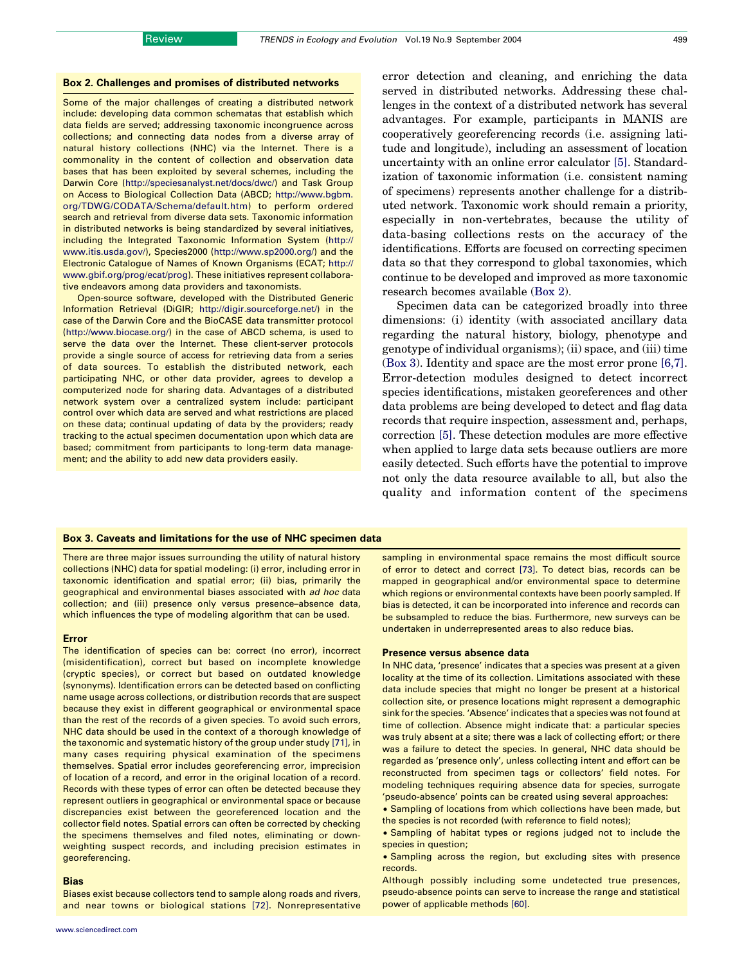## Box 2. Challenges and promises of distributed networks

Some of the major challenges of creating a distributed network include: developing data common schematas that establish which data fields are served; addressing taxonomic incongruence across collections; and connecting data nodes from a diverse array of natural history collections (NHC) via the Internet. There is a commonality in the content of collection and observation data bases that has been exploited by several schemes, including the Darwin Core [\(http://speciesanalyst.net/docs/dwc/\)](http://www.ea.gov.au/biodiversity/publications/technical/surrogates) and Task Group on Access to Biological Collection Data (ABCD; [http://www.bgbm.](http://www.ea.gov.au/biodiversity/publications/technical/surrogates) [org/TDWG/CODATA/Schema/default.htm](http://www.ea.gov.au/biodiversity/publications/technical/surrogates)) to perform ordered search and retrieval from diverse data sets. Taxonomic information in distributed networks is being standardized by several initiatives, including the Integrated Taxonomic Information System [\(http://](http://www.ea.gov.au/biodiversity/publications/technical/surrogates) [www.itis.usda.gov/\)](http://www.ea.gov.au/biodiversity/publications/technical/surrogates), Species2000 [\(http://www.sp2000.org/\)](http://www.ea.gov.au/biodiversity/publications/technical/surrogates) and the Electronic Catalogue of Names of Known Organisms (ECAT; [http://](http://www.ea.gov.au/biodiversity/publications/technical/surrogates) [www.gbif.org/prog/ecat/prog\)](http://www.ea.gov.au/biodiversity/publications/technical/surrogates). These initiatives represent collaborative endeavors among data providers and taxonomists.

Open-source software, developed with the Distributed Generic Information Retrieval (DiGIR; [http://digir.sourceforge.net/\)](http://www.ea.gov.au/biodiversity/publications/technical/surrogates) in the case of the Darwin Core and the BioCASE data transmitter protocol [\(http://www.biocase.org/\)](http://www.ea.gov.au/biodiversity/publications/technical/surrogates) in the case of ABCD schema, is used to serve the data over the Internet. These client-server protocols provide a single source of access for retrieving data from a series of data sources. To establish the distributed network, each participating NHC, or other data provider, agrees to develop a computerized node for sharing data. Advantages of a distributed network system over a centralized system include: participant control over which data are served and what restrictions are placed on these data; continual updating of data by the providers; ready tracking to the actual specimen documentation upon which data are based; commitment from participants to long-term data management; and the ability to add new data providers easily.

error detection and cleaning, and enriching the data served in distributed networks. Addressing these challenges in the context of a distributed network has several advantages. For example, participants in MANIS are cooperatively georeferencing records (i.e. assigning latitude and longitude), including an assessment of location uncertainty with an online error calculator [\[5\].](#page-5-0) Standardization of taxonomic information (i.e. consistent naming of specimens) represents another challenge for a distributed network. Taxonomic work should remain a priority, especially in non-vertebrates, because the utility of data-basing collections rests on the accuracy of the identifications. Efforts are focused on correcting specimen data so that they correspond to global taxonomies, which continue to be developed and improved as more taxonomic research becomes available (Box 2).

Specimen data can be categorized broadly into three dimensions: (i) identity (with associated ancillary data regarding the natural history, biology, phenotype and genotype of individual organisms); (ii) space, and (iii) time (Box 3). Identity and space are the most error prone [\[6,7\]](#page-5-0). Error-detection modules designed to detect incorrect species identifications, mistaken georeferences and other data problems are being developed to detect and flag data records that require inspection, assessment and, perhaps, correction [\[5\].](#page-5-0) These detection modules are more effective when applied to large data sets because outliers are more easily detected. Such efforts have the potential to improve not only the data resource available to all, but also the quality and information content of the specimens

## Box 3. Caveats and limitations for the use of NHC specimen data

There are three major issues surrounding the utility of natural history collections (NHC) data for spatial modeling: (i) error, including error in taxonomic identification and spatial error; (ii) bias, primarily the geographical and environmental biases associated with ad hoc data collection; and (iii) presence only versus presence–absence data, which influences the type of modeling algorithm that can be used.

#### Error

The identification of species can be: correct (no error), incorrect (misidentification), correct but based on incomplete knowledge (cryptic species), or correct but based on outdated knowledge (synonyms). Identification errors can be detected based on conflicting name usage across collections, or distribution records that are suspect because they exist in different geographical or environmental space than the rest of the records of a given species. To avoid such errors, NHC data should be used in the context of a thorough knowledge of the taxonomic and systematic history of the group under study [\[71\]](#page-6-0), in many cases requiring physical examination of the specimens themselves. Spatial error includes georeferencing error, imprecision of location of a record, and error in the original location of a record. Records with these types of error can often be detected because they represent outliers in geographical or environmental space or because discrepancies exist between the georeferenced location and the collector field notes. Spatial errors can often be corrected by checking the specimens themselves and filed notes, eliminating or downweighting suspect records, and including precision estimates in georeferencing.

## Bias

Biases exist because collectors tend to sample along roads and rivers, and near towns or biological stations [\[72\]](#page-6-0). Nonrepresentative sampling in environmental space remains the most difficult source of error to detect and correct [\[73\].](#page-6-0) To detect bias, records can be mapped in geographical and/or environmental space to determine which regions or environmental contexts have been poorly sampled. If bias is detected, it can be incorporated into inference and records can be subsampled to reduce the bias. Furthermore, new surveys can be undertaken in underrepresented areas to also reduce bias.

#### Presence versus absence data

In NHC data, 'presence' indicates that a species was present at a given locality at the time of its collection. Limitations associated with these data include species that might no longer be present at a historical collection site, or presence locations might represent a demographic sink for the species. 'Absence' indicates that a species was not found at time of collection. Absence might indicate that: a particular species was truly absent at a site; there was a lack of collecting effort; or there was a failure to detect the species. In general, NHC data should be regarded as 'presence only', unless collecting intent and effort can be reconstructed from specimen tags or collectors' field notes. For modeling techniques requiring absence data for species, surrogate 'pseudo-absence' points can be created using several approaches:

• Sampling of locations from which collections have been made, but the species is not recorded (with reference to field notes);

† Sampling of habitat types or regions judged not to include the species in question;

† Sampling across the region, but excluding sites with presence records.

Although possibly including some undetected true presences, pseudo-absence points can serve to increase the range and statistical power of applicable methods [\[60\]](#page-6-0).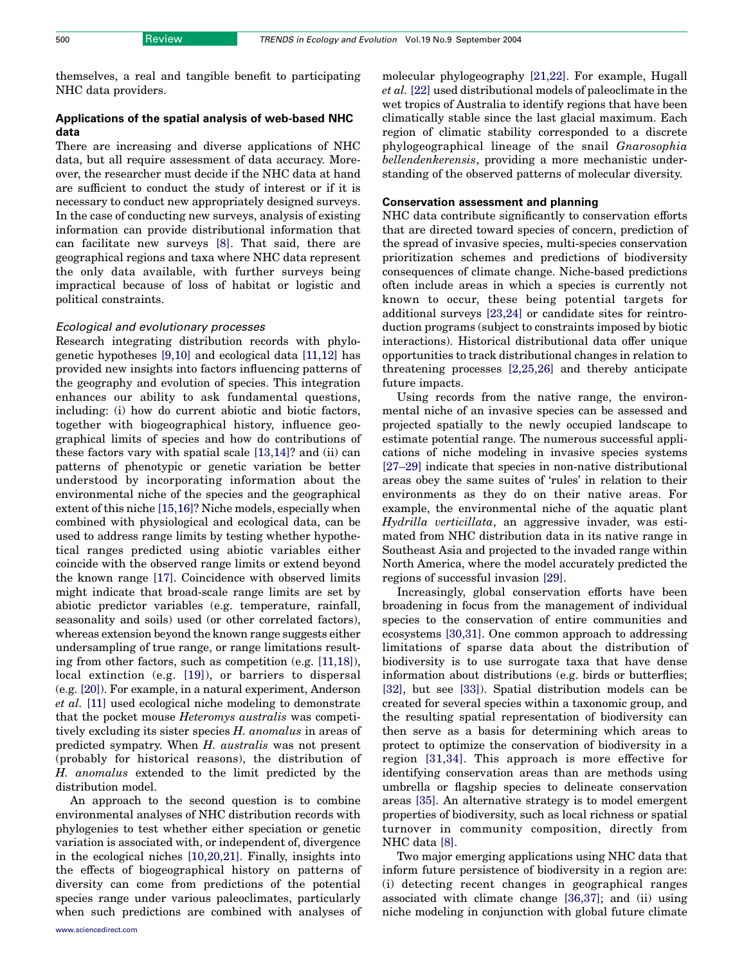themselves, a real and tangible benefit to participating NHC data providers.

# Applications of the spatial analysis of web-based NHC data

There are increasing and diverse applications of NHC data, but all require assessment of data accuracy. Moreover, the researcher must decide if the NHC data at hand are sufficient to conduct the study of interest or if it is necessary to conduct new appropriately designed surveys. In the case of conducting new surveys, analysis of existing information can provide distributional information that can facilitate new surveys [\[8\].](#page-5-0) That said, there are geographical regions and taxa where NHC data represent the only data available, with further surveys being impractical because of loss of habitat or logistic and political constraints.

# Ecological and evolutionary processes

Research integrating distribution records with phylogenetic hypotheses [\[9,10\]](#page-5-0) and ecological data [\[11,12\]](#page-5-0) has provided new insights into factors influencing patterns of the geography and evolution of species. This integration enhances our ability to ask fundamental questions, including: (i) how do current abiotic and biotic factors, together with biogeographical history, influence geographical limits of species and how do contributions of these factors vary with spatial scale [\[13,14\]?](#page-5-0) and (ii) can patterns of phenotypic or genetic variation be better understood by incorporating information about the environmental niche of the species and the geographical extent of this niche [\[15,16\]?](#page-5-0) Niche models, especially when combined with physiological and ecological data, can be used to address range limits by testing whether hypothetical ranges predicted using abiotic variables either coincide with the observed range limits or extend beyond the known range [\[17\].](#page-5-0) Coincidence with observed limits might indicate that broad-scale range limits are set by abiotic predictor variables (e.g. temperature, rainfall, seasonality and soils) used (or other correlated factors), whereas extension beyond the known range suggests either undersampling of true range, or range limitations resulting from other factors, such as competition (e.g. [\[11,18\]](#page-5-0)), local extinction (e.g. [\[19\]\)](#page-5-0), or barriers to dispersal (e.g. [\[20\]](#page-5-0)). For example, in a natural experiment, Anderson et al. [\[11\]](#page-5-0) used ecological niche modeling to demonstrate that the pocket mouse Heteromys australis was competitively excluding its sister species H. anomalus in areas of predicted sympatry. When H. australis was not present (probably for historical reasons), the distribution of H. anomalus extended to the limit predicted by the distribution model.

An approach to the second question is to combine environmental analyses of NHC distribution records with phylogenies to test whether either speciation or genetic variation is associated with, or independent of, divergence in the ecological niches [\[10,20,21\]](#page-5-0). Finally, insights into the effects of biogeographical history on patterns of diversity can come from predictions of the potential species range under various paleoclimates, particularly when such predictions are combined with analyses of

molecular phylogeography [\[21,22\]](#page-5-0). For example, Hugall et al. [\[22\]](#page-5-0) used distributional models of paleoclimate in the wet tropics of Australia to identify regions that have been climatically stable since the last glacial maximum. Each region of climatic stability corresponded to a discrete phylogeographical lineage of the snail Gnarosophia bellendenkerensis, providing a more mechanistic understanding of the observed patterns of molecular diversity.

## Conservation assessment and planning

NHC data contribute significantly to conservation efforts that are directed toward species of concern, prediction of the spread of invasive species, multi-species conservation prioritization schemes and predictions of biodiversity consequences of climate change. Niche-based predictions often include areas in which a species is currently not known to occur, these being potential targets for additional surveys [\[23,24\]](#page-5-0) or candidate sites for reintroduction programs (subject to constraints imposed by biotic interactions). Historical distributional data offer unique opportunities to track distributional changes in relation to threatening processes [\[2,25,26\]](#page-5-0) and thereby anticipate future impacts.

Using records from the native range, the environmental niche of an invasive species can be assessed and projected spatially to the newly occupied landscape to estimate potential range. The numerous successful applications of niche modeling in invasive species systems [\[27–29\]](#page-5-0) indicate that species in non-native distributional areas obey the same suites of 'rules' in relation to their environments as they do on their native areas. For example, the environmental niche of the aquatic plant Hydrilla verticillata, an aggressive invader, was estimated from NHC distribution data in its native range in Southeast Asia and projected to the invaded range within North America, where the model accurately predicted the regions of successful invasion [\[29\].](#page-6-0)

Increasingly, global conservation efforts have been broadening in focus from the management of individual species to the conservation of entire communities and ecosystems [\[30,31\].](#page-6-0) One common approach to addressing limitations of sparse data about the distribution of biodiversity is to use surrogate taxa that have dense information about distributions (e.g. birds or butterflies; [\[32\],](#page-6-0) but see [\[33\]](#page-6-0)). Spatial distribution models can be created for several species within a taxonomic group, and the resulting spatial representation of biodiversity can then serve as a basis for determining which areas to protect to optimize the conservation of biodiversity in a region [\[31,34\].](#page-6-0) This approach is more effective for identifying conservation areas than are methods using umbrella or flagship species to delineate conservation areas [\[35\].](#page-6-0) An alternative strategy is to model emergent properties of biodiversity, such as local richness or spatial turnover in community composition, directly from NHC data [\[8\].](#page-5-0)

Two major emerging applications using NHC data that inform future persistence of biodiversity in a region are: (i) detecting recent changes in geographical ranges associated with climate change [\[36,37\]](#page-6-0); and (ii) using niche modeling in conjunction with global future climate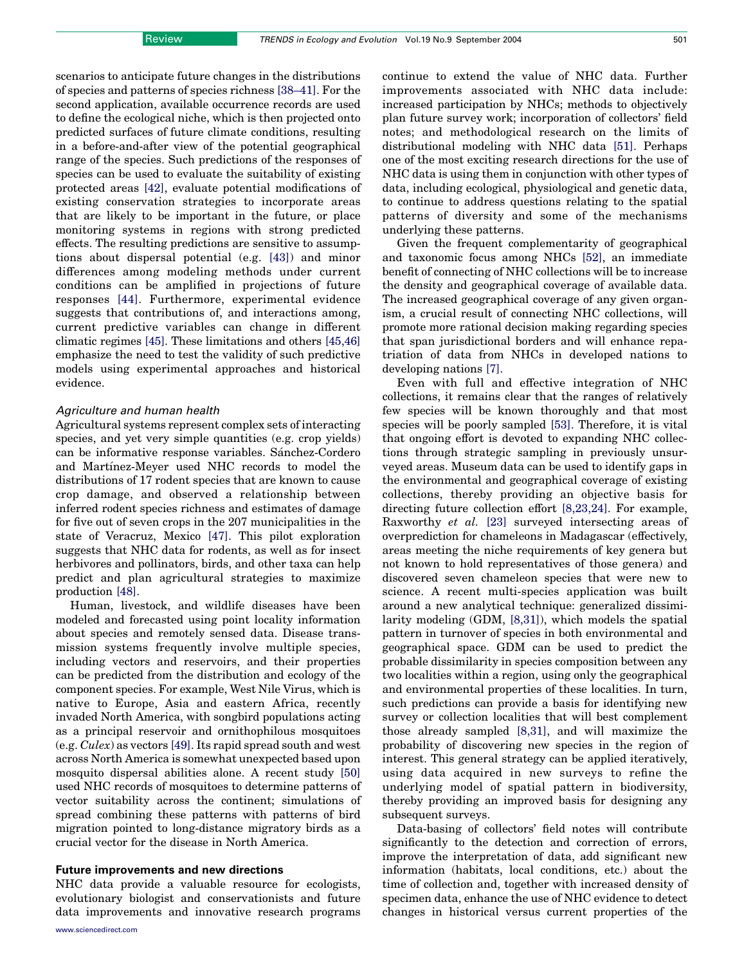scenarios to anticipate future changes in the distributions of species and patterns of species richness [\[38–41\]](#page-6-0). For the second application, available occurrence records are used to define the ecological niche, which is then projected onto predicted surfaces of future climate conditions, resulting in a before-and-after view of the potential geographical range of the species. Such predictions of the responses of species can be used to evaluate the suitability of existing protected areas [\[42\]](#page-6-0), evaluate potential modifications of existing conservation strategies to incorporate areas that are likely to be important in the future, or place monitoring systems in regions with strong predicted effects. The resulting predictions are sensitive to assumptions about dispersal potential (e.g. [\[43\]\)](#page-6-0) and minor differences among modeling methods under current conditions can be amplified in projections of future responses [\[44\]](#page-6-0). Furthermore, experimental evidence suggests that contributions of, and interactions among, current predictive variables can change in different climatic regimes [\[45\].](#page-6-0) These limitations and others [\[45,46\]](#page-6-0) emphasize the need to test the validity of such predictive models using experimental approaches and historical evidence.

## Agriculture and human health

Agricultural systems represent complex sets of interacting species, and yet very simple quantities (e.g. crop yields) can be informative response variables. Sánchez-Cordero and Martínez-Meyer used NHC records to model the distributions of 17 rodent species that are known to cause crop damage, and observed a relationship between inferred rodent species richness and estimates of damage for five out of seven crops in the 207 municipalities in the state of Veracruz, Mexico [\[47\].](#page-6-0) This pilot exploration suggests that NHC data for rodents, as well as for insect herbivores and pollinators, birds, and other taxa can help predict and plan agricultural strategies to maximize production [\[48\]](#page-6-0).

Human, livestock, and wildlife diseases have been modeled and forecasted using point locality information about species and remotely sensed data. Disease transmission systems frequently involve multiple species, including vectors and reservoirs, and their properties can be predicted from the distribution and ecology of the component species. For example, West Nile Virus, which is native to Europe, Asia and eastern Africa, recently invaded North America, with songbird populations acting as a principal reservoir and ornithophilous mosquitoes (e.g. Culex) as vectors [\[49\]](#page-6-0). Its rapid spread south and west across North America is somewhat unexpected based upon mosquito dispersal abilities alone. A recent study [\[50\]](#page-6-0) used NHC records of mosquitoes to determine patterns of vector suitability across the continent; simulations of spread combining these patterns with patterns of bird migration pointed to long-distance migratory birds as a crucial vector for the disease in North America.

## Future improvements and new directions

NHC data provide a valuable resource for ecologists, evolutionary biologist and conservationists and future data improvements and innovative research programs continue to extend the value of NHC data. Further improvements associated with NHC data include: increased participation by NHCs; methods to objectively plan future survey work; incorporation of collectors' field notes; and methodological research on the limits of distributional modeling with NHC data [\[51\].](#page-6-0) Perhaps one of the most exciting research directions for the use of NHC data is using them in conjunction with other types of data, including ecological, physiological and genetic data, to continue to address questions relating to the spatial patterns of diversity and some of the mechanisms underlying these patterns.

Given the frequent complementarity of geographical and taxonomic focus among NHCs [\[52\],](#page-6-0) an immediate benefit of connecting of NHC collections will be to increase the density and geographical coverage of available data. The increased geographical coverage of any given organism, a crucial result of connecting NHC collections, will promote more rational decision making regarding species that span jurisdictional borders and will enhance repatriation of data from NHCs in developed nations to developing nations [\[7\].](#page-5-0)

Even with full and effective integration of NHC collections, it remains clear that the ranges of relatively few species will be known thoroughly and that most species will be poorly sampled [\[53\].](#page-6-0) Therefore, it is vital that ongoing effort is devoted to expanding NHC collections through strategic sampling in previously unsurveyed areas. Museum data can be used to identify gaps in the environmental and geographical coverage of existing collections, thereby providing an objective basis for directing future collection effort [\[8,23,24\]](#page-5-0). For example, Raxworthy et al. [\[23\]](#page-5-0) surveyed intersecting areas of overprediction for chameleons in Madagascar (effectively, areas meeting the niche requirements of key genera but not known to hold representatives of those genera) and discovered seven chameleon species that were new to science. A recent multi-species application was built around a new analytical technique: generalized dissimilarity modeling (GDM, [\[8,31\]](#page-5-0)), which models the spatial pattern in turnover of species in both environmental and geographical space. GDM can be used to predict the probable dissimilarity in species composition between any two localities within a region, using only the geographical and environmental properties of these localities. In turn, such predictions can provide a basis for identifying new survey or collection localities that will best complement those already sampled [\[8,31\]](#page-5-0), and will maximize the probability of discovering new species in the region of interest. This general strategy can be applied iteratively, using data acquired in new surveys to refine the underlying model of spatial pattern in biodiversity, thereby providing an improved basis for designing any subsequent surveys.

Data-basing of collectors' field notes will contribute significantly to the detection and correction of errors, improve the interpretation of data, add significant new information (habitats, local conditions, etc.) about the time of collection and, together with increased density of specimen data, enhance the use of NHC evidence to detect changes in historical versus current properties of the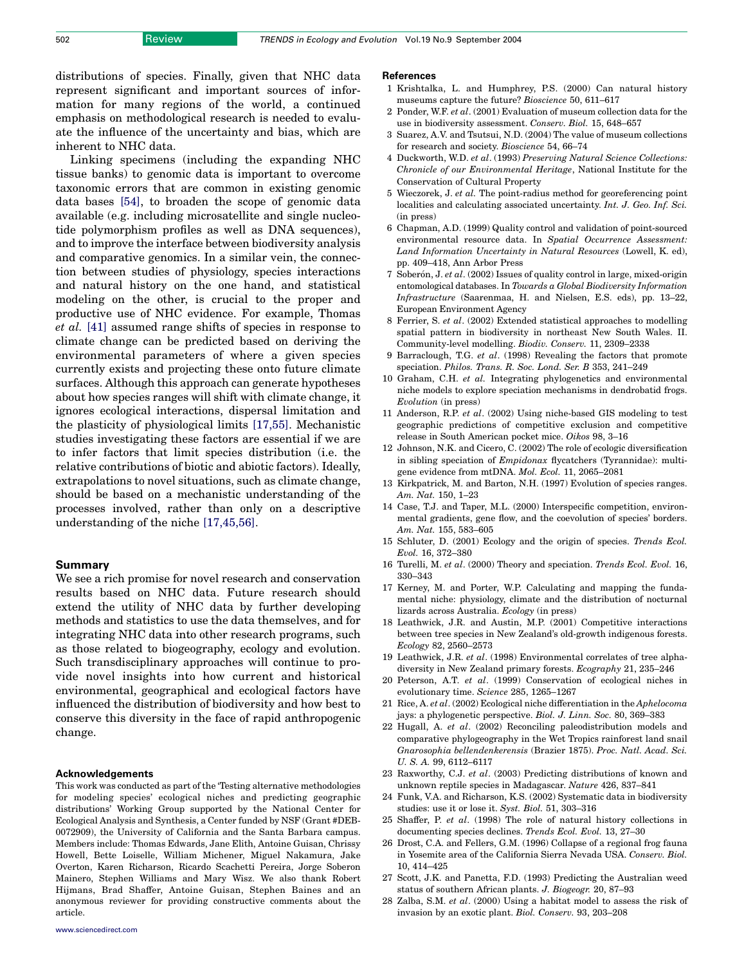<span id="page-5-0"></span>distributions of species. Finally, given that NHC data represent significant and important sources of information for many regions of the world, a continued emphasis on methodological research is needed to evaluate the influence of the uncertainty and bias, which are inherent to NHC data.

Linking specimens (including the expanding NHC tissue banks) to genomic data is important to overcome taxonomic errors that are common in existing genomic data bases [\[54\],](#page-6-0) to broaden the scope of genomic data available (e.g. including microsatellite and single nucleotide polymorphism profiles as well as DNA sequences), and to improve the interface between biodiversity analysis and comparative genomics. In a similar vein, the connection between studies of physiology, species interactions and natural history on the one hand, and statistical modeling on the other, is crucial to the proper and productive use of NHC evidence. For example, Thomas et al. [\[41\]](#page-6-0) assumed range shifts of species in response to climate change can be predicted based on deriving the environmental parameters of where a given species currently exists and projecting these onto future climate surfaces. Although this approach can generate hypotheses about how species ranges will shift with climate change, it ignores ecological interactions, dispersal limitation and the plasticity of physiological limits [17,55]. Mechanistic studies investigating these factors are essential if we are to infer factors that limit species distribution (i.e. the relative contributions of biotic and abiotic factors). Ideally, extrapolations to novel situations, such as climate change, should be based on a mechanistic understanding of the processes involved, rather than only on a descriptive understanding of the niche [17,45,56].

## Summary

We see a rich promise for novel research and conservation results based on NHC data. Future research should extend the utility of NHC data by further developing methods and statistics to use the data themselves, and for integrating NHC data into other research programs, such as those related to biogeography, ecology and evolution. Such transdisciplinary approaches will continue to provide novel insights into how current and historical environmental, geographical and ecological factors have influenced the distribution of biodiversity and how best to conserve this diversity in the face of rapid anthropogenic change.

#### Acknowledgements

This work was conducted as part of the 'Testing alternative methodologies for modeling species' ecological niches and predicting geographic distributions' Working Group supported by the National Center for Ecological Analysis and Synthesis, a Center funded by NSF (Grant #DEB-0072909), the University of California and the Santa Barbara campus. Members include: Thomas Edwards, Jane Elith, Antoine Guisan, Chrissy Howell, Bette Loiselle, William Michener, Miguel Nakamura, Jake Overton, Karen Richarson, Ricardo Scachetti Pereira, Jorge Soberon Mainero, Stephen Williams and Mary Wisz. We also thank Robert Hijmans, Brad Shaffer, Antoine Guisan, Stephen Baines and an anonymous reviewer for providing constructive comments about the article.

#### **References**

- 1 Krishtalka, L. and Humphrey, P.S. (2000) Can natural history museums capture the future? Bioscience 50, 611–617
- 2 Ponder, W.F. et al. (2001) Evaluation of museum collection data for the use in biodiversity assessment. Conserv. Biol. 15, 648–657
- 3 Suarez, A.V. and Tsutsui, N.D. (2004) The value of museum collections for research and society. Bioscience 54, 66–74
- 4 Duckworth, W.D. et al. (1993) Preserving Natural Science Collections: Chronicle of our Environmental Heritage, National Institute for the Conservation of Cultural Property
- 5 Wieczorek, J. et al. The point-radius method for georeferencing point localities and calculating associated uncertainty. Int. J. Geo. Inf. Sci.  $(in$  press $)$
- 6 Chapman, A.D. (1999) Quality control and validation of point-sourced environmental resource data. In Spatial Occurrence Assessment: Land Information Uncertainty in Natural Resources (Lowell, K. ed), pp. 409–418, Ann Arbor Press
- 7 Soberón, J. et al. (2002) Issues of quality control in large, mixed-origin entomological databases. In Towards a Global Biodiversity Information Infrastructure (Saarenmaa, H. and Nielsen, E.S. eds), pp. 13–22, European Environment Agency
- 8 Ferrier, S. et al. (2002) Extended statistical approaches to modelling spatial pattern in biodiversity in northeast New South Wales. II. Community-level modelling. Biodiv. Conserv. 11, 2309–2338
- 9 Barraclough, T.G. et al. (1998) Revealing the factors that promote speciation. Philos. Trans. R. Soc. Lond. Ser. B 353, 241–249
- 10 Graham, C.H. et al. Integrating phylogenetics and environmental niche models to explore speciation mechanisms in dendrobatid frogs. Evolution (in press)
- 11 Anderson, R.P. et al. (2002) Using niche-based GIS modeling to test geographic predictions of competitive exclusion and competitive release in South American pocket mice. Oikos 98, 3–16
- 12 Johnson, N.K. and Cicero, C. (2002) The role of ecologic diversification in sibling speciation of Empidonax flycatchers (Tyrannidae): multigene evidence from mtDNA. Mol. Ecol. 11, 2065–2081
- 13 Kirkpatrick, M. and Barton, N.H. (1997) Evolution of species ranges. Am. Nat. 150, 1–23
- 14 Case, T.J. and Taper, M.L. (2000) Interspecific competition, environmental gradients, gene flow, and the coevolution of species' borders. Am. Nat. 155, 583–605
- 15 Schluter, D. (2001) Ecology and the origin of species. Trends Ecol. Evol. 16, 372–380
- 16 Turelli, M. et al. (2000) Theory and speciation. Trends Ecol. Evol. 16, 330–343
- 17 Kerney, M. and Porter, W.P. Calculating and mapping the fundamental niche: physiology, climate and the distribution of nocturnal lizards across Australia. Ecology (in press)
- 18 Leathwick, J.R. and Austin, M.P. (2001) Competitive interactions between tree species in New Zealand's old-growth indigenous forests. Ecology 82, 2560–2573
- 19 Leathwick, J.R. et al. (1998) Environmental correlates of tree alphadiversity in New Zealand primary forests. Ecography 21, 235–246
- 20 Peterson, A.T. et al. (1999) Conservation of ecological niches in evolutionary time. Science 285, 1265–1267
- 21 Rice, A. et al. (2002) Ecological niche differentiation in the Aphelocoma jays: a phylogenetic perspective. Biol. J. Linn. Soc. 80, 369–383
- 22 Hugall, A. et al. (2002) Reconciling paleodistribution models and comparative phylogeography in the Wet Tropics rainforest land snail Gnarosophia bellendenkerensis (Brazier 1875). Proc. Natl. Acad. Sci. U. S. A. 99, 6112–6117
- 23 Raxworthy, C.J. et al. (2003) Predicting distributions of known and unknown reptile species in Madagascar. Nature 426, 837–841
- 24 Funk, V.A. and Richarson, K.S. (2002) Systematic data in biodiversity studies: use it or lose it. Syst. Biol. 51, 303–316
- 25 Shaffer, P. et al. (1998) The role of natural history collections in documenting species declines. Trends Ecol. Evol. 13, 27–30
- 26 Drost, C.A. and Fellers, G.M. (1996) Collapse of a regional frog fauna in Yosemite area of the California Sierra Nevada USA. Conserv. Biol. 10, 414–425
- 27 Scott, J.K. and Panetta, F.D. (1993) Predicting the Australian weed status of southern African plants. J. Biogeogr. 20, 87–93
- 28 Zalba, S.M. et al. (2000) Using a habitat model to assess the risk of invasion by an exotic plant. Biol. Conserv. 93, 203–208